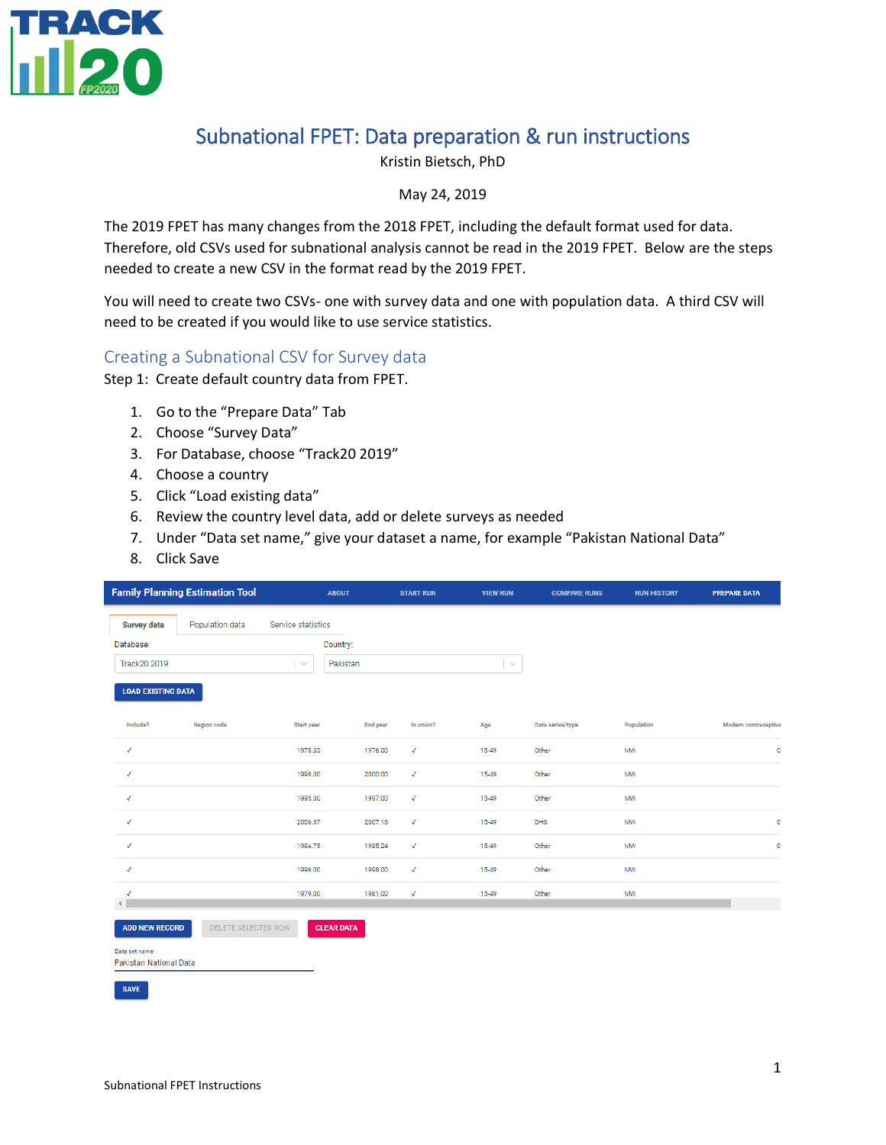

## Subnational FPET: Data preparation & run instructions

Kristin Bietsch, PhD

May 24, 2019

The 2019 FPET has many changes from the 2018 FPET, including the default format used for data. Therefore, old CSVs used for subnational analysis cannot be read in the 2019 FPET. Below are the steps needed to create a new CSV in the format read by the 2019 FPET.

You will need to create two CSVs- one with survey data and one with population data. A third CSV will need to be created if you would like to use service statistics.

#### Creating a Subnational CSV for Survey data

Step 1: Create default country data from FPET.

- 1. Go to the "Prepare Data" Tab
- 2. Choose "Survey Data"
- 3. For Database, choose "Track20 2019"
- 4. Choose a country
- 5. Click "Load existing data"
- 6. Review the country level data, add or delete surveys as needed
- 7. Under "Data set name," give your dataset a name, for example "Pakistan National Data"
- 8. Click Save

|                                         | <b>Family Planning Estimation Tool</b> | <b>ABOUT</b>           |          | <b>START RUN</b> | <b>VIEW RUN</b> | <b>COMPARE RUNS</b> | <b>RUN HISTORY</b> | <b>PREPARE DATA</b>  |
|-----------------------------------------|----------------------------------------|------------------------|----------|------------------|-----------------|---------------------|--------------------|----------------------|
| <b>Survey data</b>                      | Population data                        | Service statistics     |          |                  |                 |                     |                    |                      |
| Database:                               |                                        | Country:               |          |                  |                 |                     |                    |                      |
| Track20 2019                            |                                        | Pakistan<br>$\searrow$ |          |                  | $\sim$          |                     |                    |                      |
| <b>LOAD EXISTING DATA</b>               |                                        |                        |          |                  |                 |                     |                    |                      |
| Include?                                | Region code                            | Start year             | End year | In union?        | Age             | Data series/type    | Population         | Modern contraceptive |
| $\checkmark$                            |                                        | 1975.33                | 1976.00  | $\checkmark$     | 15-49           | Other               | MW                 | $\mathbf 0$          |
| $\checkmark$                            |                                        | 1998.00                | 2000.00  | $\checkmark$     | 15-49           | Other               | MW                 |                      |
| $\checkmark$                            |                                        | 1995.00                | 1997.00  | $\checkmark$     | 15-49           | Other               | MW                 |                      |
| $\checkmark$                            |                                        | 2006.67                | 2007.16  | $\checkmark$     | 15-49           | DHS                 | MW                 | $\circ$              |
| $\checkmark$                            |                                        | 1984.75                | 1985.24  | $\checkmark$     | 15-49           | Other               | MW                 | $\mathbf 0$          |
| $\checkmark$                            |                                        | 1996.00                | 1998.00  | $\checkmark$     | 15-49           | Other               | MW                 |                      |
| $\checkmark$<br>$\left($                |                                        | 1979.00                | 1981.00  | $\checkmark$     | 15-49           | Other               | MW                 |                      |
| <b>ADD NEW RECORD</b>                   | DELETE SELECTED ROW                    | <b>CLEAR DATA</b>      |          |                  |                 |                     |                    |                      |
| Data set name<br>Pakistan National Data |                                        |                        |          |                  |                 |                     |                    |                      |
| <b>SAVE</b>                             |                                        |                        |          |                  |                 |                     |                    |                      |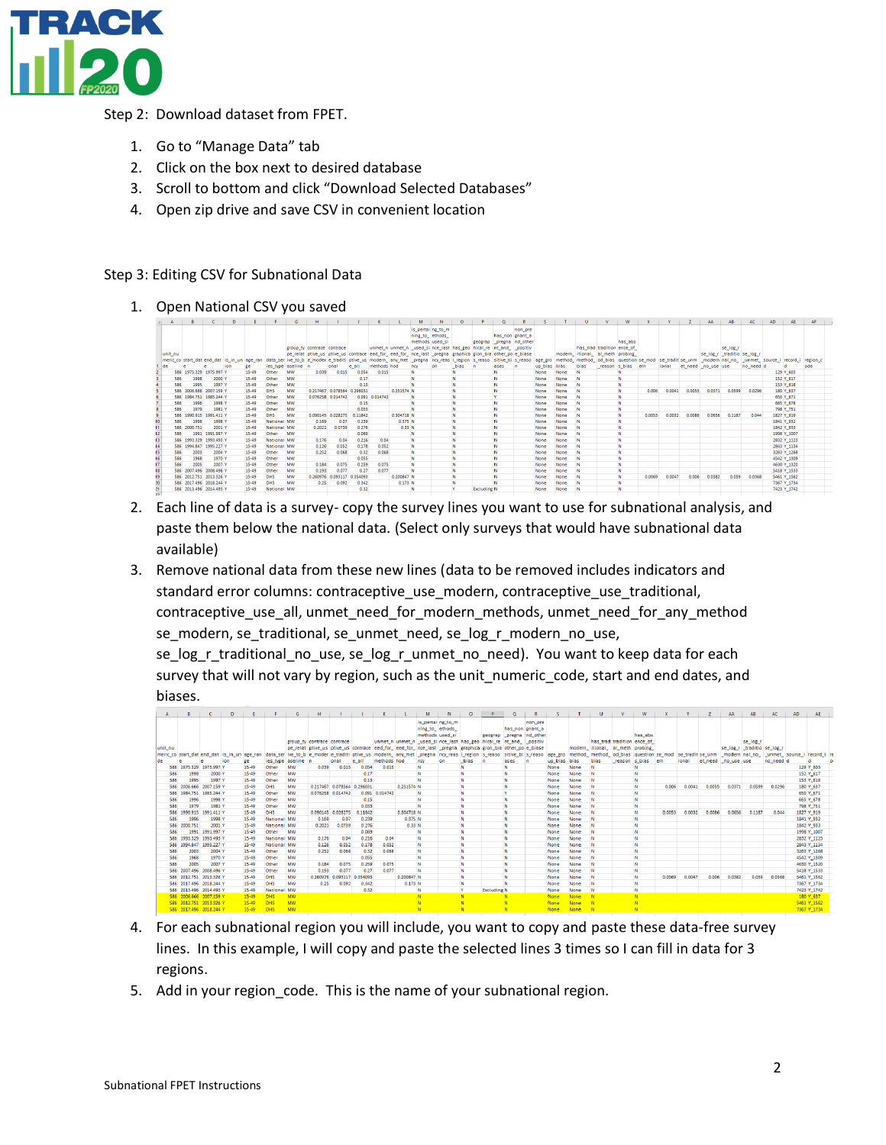

Step 2: Download dataset from FPET.

- 1. Go to "Manage Data" tab
- 2. Click on the box next to desired database
- 3. Scroll to bottom and click "Download Selected Databases"
- 4. Open zip drive and save CSV in convenient location

#### Step 3: Editing CSV for Subnational Data

1. Open National CSV you saved

|            |                                             |                     | $\mathbf{D}$ |                |                     | G         |                                                                                                                                                                          |        |         |                |                                                                  | M                | $\mathbf{N}$     | $\circ$ |                    | $\circ$                  |         |              |              | $\mathbf{u}$ |                                | W                |        |        |        | AA                                                 | AB       | AC.       | <b>AD</b> | AE                     | AF   |  |
|------------|---------------------------------------------|---------------------|--------------|----------------|---------------------|-----------|--------------------------------------------------------------------------------------------------------------------------------------------------------------------------|--------|---------|----------------|------------------------------------------------------------------|------------------|------------------|---------|--------------------|--------------------------|---------|--------------|--------------|--------------|--------------------------------|------------------|--------|--------|--------|----------------------------------------------------|----------|-----------|-----------|------------------------|------|--|
|            |                                             |                     |              |                |                     |           |                                                                                                                                                                          |        |         |                |                                                                  | is pertaing to m | ning_to_ ethods_ |         |                    | has non gnant a          | non_pre |              |              |              |                                |                  |        |        |        |                                                    |          |           |           |                        |      |  |
|            |                                             |                     |              |                |                     |           |                                                                                                                                                                          |        |         |                |                                                                  | methods used_si  |                  |         |                    | geograp _pregna nd_other |         |              |              |              |                                | has_abs          |        |        |        |                                                    |          |           |           |                        |      |  |
|            |                                             |                     |              |                |                     |           | group ty contrace contrace                                                                                                                                               |        |         |                | unmet n unmet n used si nce last has geo hical re nt and positiv |                  |                  |         |                    |                          |         |              |              |              | has trad tradition ence of     |                  |        |        |        |                                                    | se log r |           |           |                        |      |  |
| unit nu    |                                             |                     |              |                |                     |           | pe relat ptive us ptive us contrace eed for eed for ince last pregna graphica gion bia other po e blase                                                                  |        |         |                |                                                                  |                  |                  |         |                    |                          |         |              |              |              | modern itional al meth probing |                  |        |        |        | se log r traditio se log r                         |          |           |           |                        |      |  |
|            | meric_co start_dat end_dat is_in_un age_ran |                     |              |                |                     |           | data_ser ive_to_b e_moder e_traditi ptive_us modern_ any_met _pregna  ncy_reas  Lregion  s_reaso  sitive_bi  s_reaso  age_gro  method_ method_ od_bias  question  se_mod |        |         |                |                                                                  |                  |                  |         |                    |                          |         |              |              |              |                                |                  |        |        |        | se_tradit se_unm _modern nal_no_  _unmet_ source_i |          |           |           | record i region c      |      |  |
| lde        |                                             |                     | ion          | ge             | ies type aseline in |           |                                                                                                                                                                          | onal   | le all  | methods hod    |                                                                  | ncy              | <b>on</b>        | bias    | n                  | ases                     | n       | up bias bias |              | bias         |                                | reason s bias em |        | ional  |        | et need no use use                                 |          | no need d |           | ы                      | lode |  |
|            | 586 1975 329 1975 997 Y                     |                     |              | $15 - 49$      | Other               | MW        | 0.039                                                                                                                                                                    | 0.015  | 0.054   | 0.015          |                                                                  |                  |                  |         |                    |                          |         | None         | None         |              |                                | N                |        |        |        |                                                    |          |           |           | 129 Y_603              |      |  |
| 586        | 1998                                        | 2000 \              |              | 15-49          | Other               | <b>MW</b> |                                                                                                                                                                          |        | 0.17    |                |                                                                  |                  |                  |         |                    | N                        |         | None         | None         | w            |                                | M.               |        |        |        |                                                    |          |           |           | 152 Y_617              |      |  |
| 586        | 1995                                        | 1997 \              |              | 15-49          | Other               | MW        |                                                                                                                                                                          |        | 0.13    |                |                                                                  |                  |                  |         |                    | N                        |         | None         | None         |              |                                | N                |        |        |        |                                                    |          |           |           | 153 Y 618              |      |  |
|            | 586 2006.666 2007.159                       |                     |              | $15 - 49$      | DHS                 | MW        | 0.217467 0.078564 0.296031                                                                                                                                               |        |         |                | 0.251574 N                                                       |                  |                  |         |                    | N                        |         | None         | None         | w            |                                | N.               | 0.006  | 0.0041 | 0.0055 | 0.0371                                             | 0.0599   | 0.0296    |           | 180 Y_637              |      |  |
|            | 586 1984.751 1985.244 Y<br>1996             | 1998 Y              |              | 15-49<br>15-49 | Other<br>Other      | MW<br>MW  | 0.076258 0.014742                                                                                                                                                        |        | 0.15    | 0.091 0.014742 | <b>N</b>                                                         | N                |                  | N       |                    | N                        |         | None<br>None | None<br>None | w            |                                | M.<br>N          |        |        |        |                                                    |          |           |           | 650 Y_671              |      |  |
| 586<br>586 | 1979                                        | 1981 Y              |              | 15-49          | Other               | MW        |                                                                                                                                                                          |        | 0.033   |                |                                                                  |                  |                  |         |                    | N                        |         | None         | None         | <b>N</b>     |                                | N.               |        |        |        |                                                    |          |           |           | 665 Y_678<br>798 Y_751 |      |  |
| 586        |                                             | 1990.915 1991.411 Y |              | 15-49          | <b>DHS</b>          | MW        | 0.090145 0.028275                                                                                                                                                        |        | 0.11842 |                | 0.304718 N                                                       |                  |                  | N       |                    | N                        |         | None         | None         | w            |                                | M.               | 0.0053 | 0.0032 | 0.0086 | 0.0656                                             | 0.1187   | 0.044     |           | 1827 Y_919             |      |  |
| 586        | 1996                                        | 1998 Y              |              | 15-49          | National MW         |           | 0.169                                                                                                                                                                    | 0.07   | 0.239   |                | 0.375 N                                                          |                  |                  | Ν       |                    | N                        |         | None         | None         |              |                                | N.               |        |        |        |                                                    |          |           |           | 1841 Y_932             |      |  |
| 586        | 2000.751                                    | 2001 \              |              | 15-49          | National MW         |           | 0.2021                                                                                                                                                                   | 0.0739 | 0.276   |                | 0.33 N                                                           |                  |                  |         |                    | N                        |         | None         | None         | w            |                                | N.               |        |        |        |                                                    |          |           |           | 1842 Y 933             |      |  |
| 586        | 1991                                        | 1991.997 Y          |              | 15-49          | Other               | <b>MW</b> |                                                                                                                                                                          |        | 0.069   |                | N                                                                |                  |                  |         |                    | N                        |         | None         | None         | w            |                                | M                |        |        |        |                                                    |          |           |           | 1998 Y_1007            |      |  |
|            | 586 1993 329 1993 493 1                     |                     |              | 15-49          | National MW         |           | 0.176                                                                                                                                                                    | 0.04   | 0.216   | 0.04           |                                                                  | <b>N</b>         |                  |         |                    | N                        |         | None         | None         |              |                                | N                |        |        |        |                                                    |          |           |           | 2832 Y_1123            |      |  |
|            | 586 1994 847 1995 227 \                     |                     |              | 15-49          | National MW         |           | 0.126                                                                                                                                                                    | 0.052  | 0.178   | 0.052          |                                                                  | N                |                  |         |                    | N                        |         | None         | None         |              |                                | N.               |        |        |        |                                                    |          |           |           | 2843 Y_1134            |      |  |
| 586        | 2003                                        | 2004 Y              |              | 15-49          | Other               | MW        | 0.252                                                                                                                                                                    | 0.068  | 0.32    | 0.068          |                                                                  | N                |                  |         |                    | N                        |         | None         | None         | <b>N</b>     |                                | N                |        |        |        |                                                    |          |           |           | 3263 Y_1268            |      |  |
| 586        | 1968                                        | 1970 Y              |              | 15-49          | Other               | MW        |                                                                                                                                                                          |        | 0.055   |                |                                                                  | M                |                  |         |                    | N                        |         | None         | None         |              |                                | N                |        |        |        |                                                    |          |           |           | 4542 Y_1309            |      |  |
| 586        | 2005                                        | 2007 \              |              | 15-49          | Other               | MW        | 0.184                                                                                                                                                                    | 0.075  | 0.259   | 0.075          |                                                                  | N                |                  |         |                    | N                        |         | None         | None         |              |                                | N.               |        |        |        |                                                    |          |           |           | 4630 Y_1320            |      |  |
|            | 586 2007.496 2008.496 Y                     |                     |              | 15-49          | Other               | <b>MW</b> | 0.193                                                                                                                                                                    | 0.077  | 0.27    | 0.077          |                                                                  |                  |                  |         |                    | N                        |         | None         | None         | <b>N</b>     |                                | N                |        |        |        |                                                    |          |           |           | 5418 Y_1533            |      |  |
|            | 586 2012.751 2013.326 \                     |                     |              | 15-49          | DHS                 | MW        | 0.260976 0.093117 0.354093                                                                                                                                               |        |         |                | 0.200847 N                                                       |                  |                  |         |                    | N                        |         | None         | None         |              |                                | N                | 0.0069 | 0.0047 | 0.006  | 0.0382                                             | 0.059    | 0.0368    |           | 5461 Y_1562            |      |  |
|            | 586 2017.496 2018.244 Y                     |                     |              | 15-49          | DHS                 | MW        | 0.25                                                                                                                                                                     | 0.092  | 0.342   |                | 0.173 N                                                          |                  |                  |         |                    | M                        |         | None         | None         |              |                                | N.               |        |        |        |                                                    |          |           |           | 7367 Y_1734            |      |  |
|            | 586 2013.496 2014.493 Y                     |                     |              | 15-49          | National MW         |           |                                                                                                                                                                          |        | 0.32    |                |                                                                  |                  |                  |         | <b>Excluding N</b> |                          |         | None         | None         |              |                                | M                |        |        |        |                                                    |          |           |           | 7423 Y_1742            |      |  |

- 2. Each line of data is a survey- copy the survey lines you want to use for subnational analysis, and paste them below the national data. (Select only surveys that would have subnational data available)
- 3. Remove national data from these new lines (data to be removed includes indicators and standard error columns: contraceptive\_use\_modern, contraceptive\_use\_traditional, contraceptive\_use\_all, unmet\_need\_for\_modern\_methods, unmet\_need\_for\_any\_method se\_modern, se\_traditional, se\_unmet\_need, se\_log\_r\_modern\_no\_use,

se\_log\_r\_traditional\_no\_use, se\_log\_r\_unmet\_no\_need). You want to keep data for each survey that will not vary by region, such as the unit numeric code, start and end dates, and biases.

|           | B            | $\epsilon$                                  | D          |           |                    | G                | H                          |                            |         | K                                                                                                                        |            | M        | N                                    | $\circ$ | P.                 | $\circ$                 | R.       | -S      |      | U                                     | <b>V</b>                   | W                | x      | <b>V</b> | z                   | AA     | AB                          | AC.       | AD                                           | <b>AE</b>   |         |
|-----------|--------------|---------------------------------------------|------------|-----------|--------------------|------------------|----------------------------|----------------------------|---------|--------------------------------------------------------------------------------------------------------------------------|------------|----------|--------------------------------------|---------|--------------------|-------------------------|----------|---------|------|---------------------------------------|----------------------------|------------------|--------|----------|---------------------|--------|-----------------------------|-----------|----------------------------------------------|-------------|---------|
|           |              |                                             |            |           |                    |                  |                            |                            |         |                                                                                                                          |            |          | is pertai ng to m<br>ning_to_ ethods |         |                    | has non gnant a         | non pre  |         |      |                                       |                            |                  |        |          |                     |        |                             |           |                                              |             |         |
|           |              |                                             |            |           |                    |                  |                            |                            |         |                                                                                                                          |            |          | methods used si                      |         |                    | geograp pregna nd_other |          |         |      |                                       |                            | has abs          |        |          |                     |        |                             |           |                                              |             |         |
|           |              |                                             |            |           |                    |                  | group_ty contrace contrace |                            |         | unmet n unmet n used si nce last has geo hical re int and positiv                                                        |            |          |                                      |         |                    |                         |          |         |      |                                       | has trad tradition ence of |                  |        |          |                     |        | se_log_r                    |           |                                              |             |         |
| unit_nu   |              |                                             |            |           |                    |                  |                            |                            |         | pe relat ptive us ptive us contrace eed for eed for nce last pregna graphica gion bia other po e biase                   |            |          |                                      |         |                    |                         |          |         |      | modern itional al meth probing        |                            |                  |        |          |                     |        | se_log_r _traditio se_log_r |           |                                              |             |         |
|           |              | meric co start dat end dat is in un age ran |            |           |                    |                  |                            |                            |         | data_ser ive_to_b e_moder e_traditi ptive_us modern_ any_met _pregna ncy_reas l_region s_reaso sitive_bi s_reaso age_gro |            |          |                                      |         |                    |                         |          |         |      | method_method_od_bias question se_mod |                            |                  |        |          | se tradit se unm    |        |                             |           | _modern nal_no_ _unmet_ source_i record_i re |             |         |
| <b>de</b> |              | c                                           | <b>ton</b> | ge        |                    | ies type aseline | <b>In</b>                  | onal                       | e all   | methods hod                                                                                                              |            | ncy      | on                                   | bias    | <b>n</b>           | ases                    | <b>n</b> | up bias | bias | bias                                  |                            | reason s bias em |        | ional    | et_need _no_use use |        |                             | no need d |                                              | <b>d</b>    | $\circ$ |
|           |              | 586 1975 329 1975 997 Y                     |            | $15 - 49$ | Other              | MW               | 0.039                      | 0.015                      | 0.054   | 0.015                                                                                                                    |            | N        |                                      | N       |                    | N                       |          | None    | None | N                                     |                            | Ν                |        |          |                     |        |                             |           |                                              | 129 Y 603   |         |
|           | 586          | 1998<br>2000 Y                              |            | $15 - 49$ | Other              | <b>MW</b>        |                            |                            | 0.17    |                                                                                                                          |            | N        |                                      | N       |                    | <b>N</b>                |          | None    | None | N                                     |                            | N                |        |          |                     |        |                             |           |                                              | 152 Y 617   |         |
|           | 1995<br>586  | 1997 Y                                      |            | $15 - 49$ | Other              | <b>MW</b>        |                            |                            | 0.13    |                                                                                                                          |            | N        |                                      | N       |                    | N                       |          | None    | None | N                                     |                            | N                |        |          |                     |        |                             |           |                                              | 153 Y 618   |         |
|           |              | 586 2006.666 2007.159 Y                     |            | $15 - 49$ | DHS                | <b>MW</b>        |                            | 0.217467 0.078564 0.296031 |         |                                                                                                                          | 0.251574 N |          |                                      | N       |                    | <b>N</b>                |          | None    | None | N                                     |                            | Ν                | 0.006  | 0.0041   | 0.0055              | 0.0371 | 0.0599                      | 0.0296    |                                              | 180 Y 637   |         |
|           |              | 586 1984.751 1985.244 Y                     |            | $15 - 49$ | Other              | <b>MW</b>        |                            | 0.076258 0.014742          |         | 0.091 0.014742                                                                                                           |            | N        |                                      | N       |                    | <b>V</b>                |          | None    | None | N                                     |                            | N                |        |          |                     |        |                             |           |                                              | 650 Y 671   |         |
|           | 586          | 1998 Y<br>1996                              |            | $15 - 49$ | Other              | MW               |                            |                            | 0.15    |                                                                                                                          |            | N        |                                      | N       |                    | <b>N</b>                |          | None    | None | N                                     |                            | N                |        |          |                     |        |                             |           |                                              | 665 Y 678   |         |
|           | 1979<br>586  | 1981 Y                                      |            | 15-49     | Other              | MW               |                            |                            | 0.033   |                                                                                                                          |            | N        |                                      | N       |                    | N                       |          | None    | None | N                                     |                            | N                |        |          |                     |        |                             |           |                                              | 798 Y_751   |         |
|           |              | 586 1990.915 1991.411 Y                     |            | 15-49     | DHS                | MW               |                            | 0.090145 0.028275          | 0.11842 |                                                                                                                          | 0.304718 N |          |                                      | N       |                    | N                       |          | None    | None | N                                     |                            | Ν                | 0.0053 | 0.0032   | 0.0086              | 0.0656 | 0.1187                      | 0.044     |                                              | 1827 Y_919  |         |
|           | 1996<br>586  | 1998 Y                                      |            | $15 - 49$ | National MW        |                  | 0.169                      | 0.07                       | 0.239   |                                                                                                                          | 0.375 N    |          |                                      | N       |                    | N                       |          | None    | None | N                                     |                            | N                |        |          |                     |        |                             |           |                                              | 1841 Y_932  |         |
|           | 586 2000.751 | 2001 Y                                      |            | $15 - 49$ | National MW        |                  | 0.2021                     | 0.0739                     | 0.276   |                                                                                                                          | 0.33 N     |          |                                      | N       |                    | <b>N</b>                |          | None    | None | N                                     |                            | N                |        |          |                     |        |                             |           |                                              | 1842 Y_933  |         |
|           |              | 1991.997 Y<br>1991                          |            | $15 - 49$ | Other              | <b>MW</b>        |                            |                            | 0.069   |                                                                                                                          |            | N        |                                      | N       |                    | N                       |          | None    | None | N                                     |                            | N                |        |          |                     |        |                             |           |                                              | 1998 Y 1007 |         |
|           |              | 586 1993.329 1993.493 Y                     |            | $15 - 49$ | <b>National MW</b> |                  | 0.176                      | 0.04                       | 0.216   | 0.04                                                                                                                     |            | N        |                                      | N       |                    | <b>N</b>                |          | None    | None | N                                     |                            | N                |        |          |                     |        |                             |           |                                              | 2832 Y 1123 |         |
|           |              | 586 1994.847 1995.227 Y                     |            | $15 - 49$ | <b>National MW</b> |                  | 0.126                      | 0.052                      | 0.178   | 0.052                                                                                                                    |            | N        |                                      | N       |                    | <b>N</b>                |          | None    | None | N                                     |                            | N                |        |          |                     |        |                             |           |                                              | 2843 Y 1134 |         |
|           | 586<br>2003  | 2004 Y                                      |            | $15 - 49$ | Other              | <b>MW</b>        | 0.252                      | 0.068                      | 0.32    | 0.068                                                                                                                    |            | N        |                                      | N       |                    | N                       |          | None    | None | N                                     |                            | N                |        |          |                     |        |                             |           |                                              | 3263 Y 1268 |         |
|           | 586          | 1970 Y<br>1968                              |            | $15 - 49$ | Other              | <b>MW</b>        |                            |                            | 0.055   |                                                                                                                          |            | <b>N</b> |                                      | N       |                    | <b>N</b>                |          | None    | None | N                                     |                            | Ν                |        |          |                     |        |                             |           |                                              | 4542 Y 1309 |         |
|           | 2005<br>586  | 2007 Y                                      |            | $15 - 49$ | Other              | <b>MW</b>        | 0.184                      | 0.075                      | 0.259   | 0.075                                                                                                                    |            | <b>N</b> |                                      | N       |                    | <b>N</b>                |          | None    | None | N                                     |                            | Ν                |        |          |                     |        |                             |           |                                              | 4630 Y 1320 |         |
|           |              | 586 2007.496 2008.496 Y                     |            | $15 - 49$ | Other              | <b>MW</b>        | 0.193                      | 0.077                      | 0.27    | 0.077                                                                                                                    |            | N        |                                      | N       |                    | N                       |          | None    | None | N                                     |                            | Ν                |        |          |                     |        |                             |           |                                              | 5418 Y 1533 |         |
|           |              | 586 2012.751 2013.326 Y                     |            | 15-49     | DHS                | MW               |                            | 0.260976 0.093117 0.354093 |         |                                                                                                                          | 0.200847 N |          |                                      | N       |                    | N                       |          | None    | None | <b>N</b>                              |                            | M.               | 0.0069 | 0.0047   | 0.006               | 0.0382 | 0.059                       | 0.0368    |                                              | 5461 Y_1562 |         |
|           |              | 586 2017.496 2018.244 Y                     |            | 15-49     | DHS                | MW               | 0.25                       | 0.092                      | 0.342   |                                                                                                                          | 0.173N     |          |                                      | N       |                    | N                       |          | None    | None | N                                     |                            | Ν                |        |          |                     |        |                             |           |                                              | 7367 Y_1734 |         |
|           |              | 586 2013.496 2014.493 Y                     |            | $15 - 49$ | National           | MW               |                            |                            | 0.32    |                                                                                                                          |            |          |                                      |         | <b>Excluding N</b> |                         |          | None    | None | N                                     |                            |                  |        |          |                     |        |                             |           |                                              | 7423 Y_1742 |         |
|           |              | 586 2006.666 2007.159 Y                     |            | $15 - 49$ | <b>DHS</b>         | <b>MW</b>        |                            |                            |         |                                                                                                                          |            |          |                                      | N       |                    | N                       |          | None    | None | N                                     |                            | N                |        |          |                     |        |                             |           |                                              | 180 Y_637   |         |
|           |              | 586 2012.751 2013.326 Y                     |            | $15 - 49$ | <b>DHS</b>         | <b>MW</b>        |                            |                            |         |                                                                                                                          |            |          |                                      |         |                    |                         |          | None    | None | N                                     |                            |                  |        |          |                     |        |                             |           |                                              | 5461 Y_1562 |         |
|           |              | 586 2017.496 2018.244 Y                     |            | $15 - 49$ | <b>DHS</b>         | <b>MW</b>        |                            |                            |         |                                                                                                                          |            |          |                                      |         |                    | N                       |          | None    | None | <b>N</b>                              |                            |                  |        |          |                     |        |                             |           |                                              | 7367 Y 1734 |         |

- 4. For each subnational region you will include, you want to copy and paste these data-free survey lines. In this example, I will copy and paste the selected lines 3 times so I can fill in data for 3 regions.
- 5. Add in your region\_code. This is the name of your subnational region.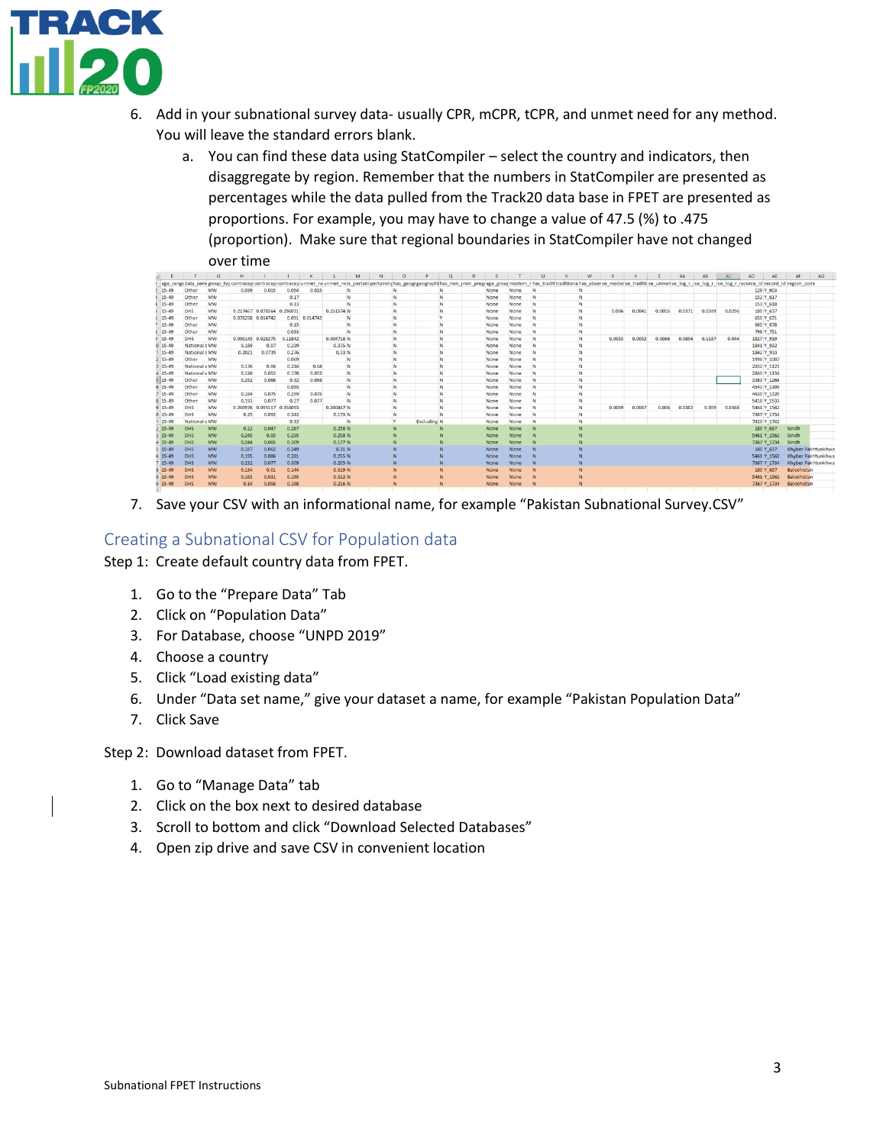

- 6. Add in your subnational survey data- usually CPR, mCPR, tCPR, and unmet need for any method. You will leave the standard errors blank.
	- a. You can find these data using StatCompiler select the country and indicators, then disaggregate by region. Remember that the numbers in StatCompiler are presented as percentages while the data pulled from the Track20 data base in FPET are presented as proportions. For example, you may have to change a value of 47.5 (%) to .475 (proportion). Make sure that regional boundaries in StatCompiler have not changed over time

|            |                      | $\circ$   |          |                   |          | $\sim$         |            | M. | <b>N</b> | $\mathbf{U}$ |                    | ч | $\mathbf{K}$ |      |      |   | W. | $\mathbf{A}$                                                                                                                                                                                                                   |        |        | A      | $\overline{AB}$ | AU.    | AU.        | <b>AL</b>   |                   | AG.               |  |
|------------|----------------------|-----------|----------|-------------------|----------|----------------|------------|----|----------|--------------|--------------------|---|--------------|------|------|---|----|--------------------------------------------------------------------------------------------------------------------------------------------------------------------------------------------------------------------------------|--------|--------|--------|-----------------|--------|------------|-------------|-------------------|-------------------|--|
|            |                      |           |          |                   |          |                |            |    |          |              |                    |   |              |      |      |   |    | age_rangedata_seriegroup_typcontracep/contracep/contracep/contracep/unmet_neis_pertainpertaininghas_geogrgeographihas_non_inon_pregiage_groupmodern_rhas_tradittraditionalhas_abserse_moderse_traditise_unmetse_log_r_ise_log_ |        |        |        |                 |        |            |             |                   |                   |  |
| 15-49      | Other                | MW        | 0.039    | 0.015             | 0.054    | 0.015          |            | N  |          | N            |                    | N |              | None | None | N | N  |                                                                                                                                                                                                                                |        |        |        |                 |        |            | 129 Y 603   |                   |                   |  |
| 15-49      | Other                | MW        |          |                   | 0.17     |                | N          |    |          | N            |                    | N |              | None | None | N | N  |                                                                                                                                                                                                                                |        |        |        |                 |        |            | 152 Y 617   |                   |                   |  |
| 15-49      | Other                | MW        |          |                   | 0.13     |                | N          |    |          | N            |                    | N |              | None | None | N | N  |                                                                                                                                                                                                                                |        |        |        |                 |        |            | 153 Y 618   |                   |                   |  |
| 15-49      | <b>DHS</b>           | MW        |          | 0.217467 0.078564 | 0.296031 |                | 0.251574 N |    |          | N            | N                  |   |              | None | None | N | N  | 0.006                                                                                                                                                                                                                          | 0.0041 | 0.0055 | 0.0371 | 0.0599          | 0.0296 |            | 180 Y 637   |                   |                   |  |
| 15-49      | Other                | MW        |          | 0.076258 0.014742 |          | 0.091 0.014742 |            | N  |          | N            |                    |   |              | None | None | N | N  |                                                                                                                                                                                                                                |        |        |        |                 |        |            | 650 Y 671   |                   |                   |  |
| 15-49      | Other                | MW        |          |                   | 0.15     |                |            | N  |          | N            |                    | N |              | None | None | N | N  |                                                                                                                                                                                                                                |        |        |        |                 |        |            | 665 Y 678   |                   |                   |  |
| 15-49      | Other                | MW        |          |                   | 0.033    |                | N          |    |          | N            |                    | N |              | None | None | N | N  |                                                                                                                                                                                                                                |        |        |        |                 |        |            | 798 Y 751   |                   |                   |  |
| 15-49      | DHS                  | MW        |          | 0.090145 0.028275 | 0.11842  |                | 0.304718 N |    |          | N            |                    | N |              | None | None | N | N  | 0.0053                                                                                                                                                                                                                         | 0.0032 | 0.0086 | 0.0656 | 0.1187          | 0.044  | 1827 Y 919 |             |                   |                   |  |
| $0$ 15-49  | National s MW        |           | 0.169    | 0.07              | 0.239    |                | 0.375 N    |    |          | N            |                    | N |              | None | None | N | N  |                                                                                                                                                                                                                                |        |        |        |                 |        | 1841 Y 932 |             |                   |                   |  |
| 15-49      | <b>National s MW</b> |           | 0.2021   | 0.0739            | 0.276    |                | 0.33N      |    |          | N            |                    | N |              | None | None | N | N  |                                                                                                                                                                                                                                |        |        |        |                 |        | 1842 Y 933 |             |                   |                   |  |
| $15-49$    | Other                | MW        |          |                   | 0.069    |                | N          |    |          | N            |                    | N |              | None | None | N | N  |                                                                                                                                                                                                                                |        |        |        |                 |        |            | 1998 Y 1007 |                   |                   |  |
| $3 15-49$  | National s MW        |           | 0.176    | 0.04              | 0.216    | 0.04           | N          |    |          | N            |                    | N |              | None | None | N | N  |                                                                                                                                                                                                                                |        |        |        |                 |        |            | 2832 Y 1123 |                   |                   |  |
| 4 15-49    | National s MW        |           | 0.126    | 0.052             | 0.178    | 0.052          |            | N  |          | N            |                    | N |              | None | None | N | N  |                                                                                                                                                                                                                                |        |        |        |                 |        |            | 2843 Y 1134 |                   |                   |  |
| $5 15-49$  | Other                | MW        | 0.252    | 0.068             | 0.32     | 0.068          |            | N  |          | N            | N                  |   |              | None | None | N | N  |                                                                                                                                                                                                                                |        |        |        |                 |        |            | 3263 Y 1268 |                   |                   |  |
| $6 15-49$  | Other                | MW        |          |                   | 0.055    |                |            | N  |          | N            |                    | N |              | None | None | N | N  |                                                                                                                                                                                                                                |        |        |        |                 |        |            | 4542 Y 1309 |                   |                   |  |
| $15-49$    | Other                | MW        | 0.184    | 0.075             | 0.259    | 0.075          | N          |    |          | N            |                    | N |              | None | None | N | N  |                                                                                                                                                                                                                                |        |        |        |                 |        |            | 4630 Y 1320 |                   |                   |  |
| 8 15-49    | Other                | MW        | 0.193    | 0.077             | 0.27     | 0.077          | N          |    |          | N            |                    | N |              | None | None | N | N  |                                                                                                                                                                                                                                |        |        |        |                 |        |            | 5418 Y 1533 |                   |                   |  |
| $9 15-49$  | DHS                  | MW        | 0.260976 | 0.093117          | 0.354093 |                | 0.200847 N |    |          | N            |                    | N |              | None | None | N | N  | 0.0069                                                                                                                                                                                                                         | 0.0047 | 0.006  | 0.0382 | 0.059           | 0.0368 |            | 5461 Y 1562 |                   |                   |  |
| $0$ 15-49  | DHS                  | MW        | 0.25     | 0.092             | 0.342    |                | 0.173N     |    |          | N            | N                  |   |              | None | None | N | N  |                                                                                                                                                                                                                                |        |        |        |                 |        |            | 7367 Y 1734 |                   |                   |  |
| 15-49      | National s MW        |           |          |                   | 0.32     |                | N          |    |          | v            | <b>Excluding N</b> |   |              | None | None | N | N  |                                                                                                                                                                                                                                |        |        |        |                 |        |            | 7423 Y 1742 |                   |                   |  |
| 15-49      | <b>DHS</b>           | <b>MW</b> | 0.22     | 0.047             | 0.267    |                | 0.258 N    |    |          |              |                    |   |              | None | None | N |    |                                                                                                                                                                                                                                |        |        |        |                 |        |            | 180 Y 637   | Sindh             |                   |  |
| $3 15-49 $ | DHS                  | <b>MW</b> | 0.245    | 0.05              | 0.295    |                | 0.208 N    |    |          |              |                    |   |              | None | None |   |    |                                                                                                                                                                                                                                |        |        |        |                 |        |            | 5461 Y 1562 | Sindh             |                   |  |
| $4 15-49$  | <b>DHS</b>           | MW        | 0.244    | 0.065             | 0.309    |                | 0.177N     |    |          |              |                    |   |              | None | None |   |    |                                                                                                                                                                                                                                |        |        |        |                 |        |            | 7367 Y_1734 | Sindh             |                   |  |
| $5 15-49 $ | DHS                  | <b>MW</b> | 0.187    | 0.062             | 0.249    |                | 0.31N      |    |          |              |                    |   |              | None | None |   |    |                                                                                                                                                                                                                                |        |        |        |                 |        |            | 180 Y 637   |                   | Khyber Pakhtunkhw |  |
| $6 15-49 $ | DHS                  | <b>MW</b> | 0.195    | 0.086             | 0.281    |                | 0.255 N    |    |          |              |                    |   |              | None | None |   |    |                                                                                                                                                                                                                                |        |        |        |                 |        |            | 5461 Y 1562 | Khyber Pakhtunkhw |                   |  |
| 15-49      | DHS                  | <b>MW</b> | 0.232    | 0.077             | 0.309    |                | 0.205 N    |    |          |              |                    |   |              | None | None |   |    |                                                                                                                                                                                                                                |        |        |        |                 |        |            | 7367 Y 1734 |                   | Khyber Pakhtunkhw |  |
| 8 15-49    | <b>DHS</b>           | <b>MW</b> | 0.134    | 0.01              | 0.144    |                | 0.319 N    |    |          |              |                    |   |              | None | None | N |    |                                                                                                                                                                                                                                |        |        |        |                 |        |            | 180 Y_637   | Balochistan       |                   |  |
| $9 15-49 $ | DHS                  | <b>MW</b> | 0.163    | 0.031             | 0.195    |                | 0.312 N    |    |          |              |                    |   |              | None | None | N |    |                                                                                                                                                                                                                                |        |        |        |                 |        |            | 5461 Y 1562 | Balochistan       |                   |  |
| $0 15-49$  | <b>DHS</b>           | MW        | 0.14     | 0.058             | 0.198    |                | 0.216 N    |    |          | N            |                    |   |              | None | None | N |    |                                                                                                                                                                                                                                |        |        |        |                 |        |            | 7367 Y 1734 | Balochistan       |                   |  |
|            |                      |           |          |                   |          |                |            |    |          |              |                    |   |              |      |      |   |    |                                                                                                                                                                                                                                |        |        |        |                 |        |            |             |                   |                   |  |

7. Save your CSV with an informational name, for example "Pakistan Subnational Survey.CSV"

#### Creating a Subnational CSV for Population data

Step 1: Create default country data from FPET.

- 1. Go to the "Prepare Data" Tab
- 2. Click on "Population Data"
- 3. For Database, choose "UNPD 2019"
- 4. Choose a country
- 5. Click "Load existing data"
- 6. Under "Data set name," give your dataset a name, for example "Pakistan Population Data"
- 7. Click Save

Step 2: Download dataset from FPET.

- 1. Go to "Manage Data" tab
- 2. Click on the box next to desired database
- 3. Scroll to bottom and click "Download Selected Databases"
- 4. Open zip drive and save CSV in convenient location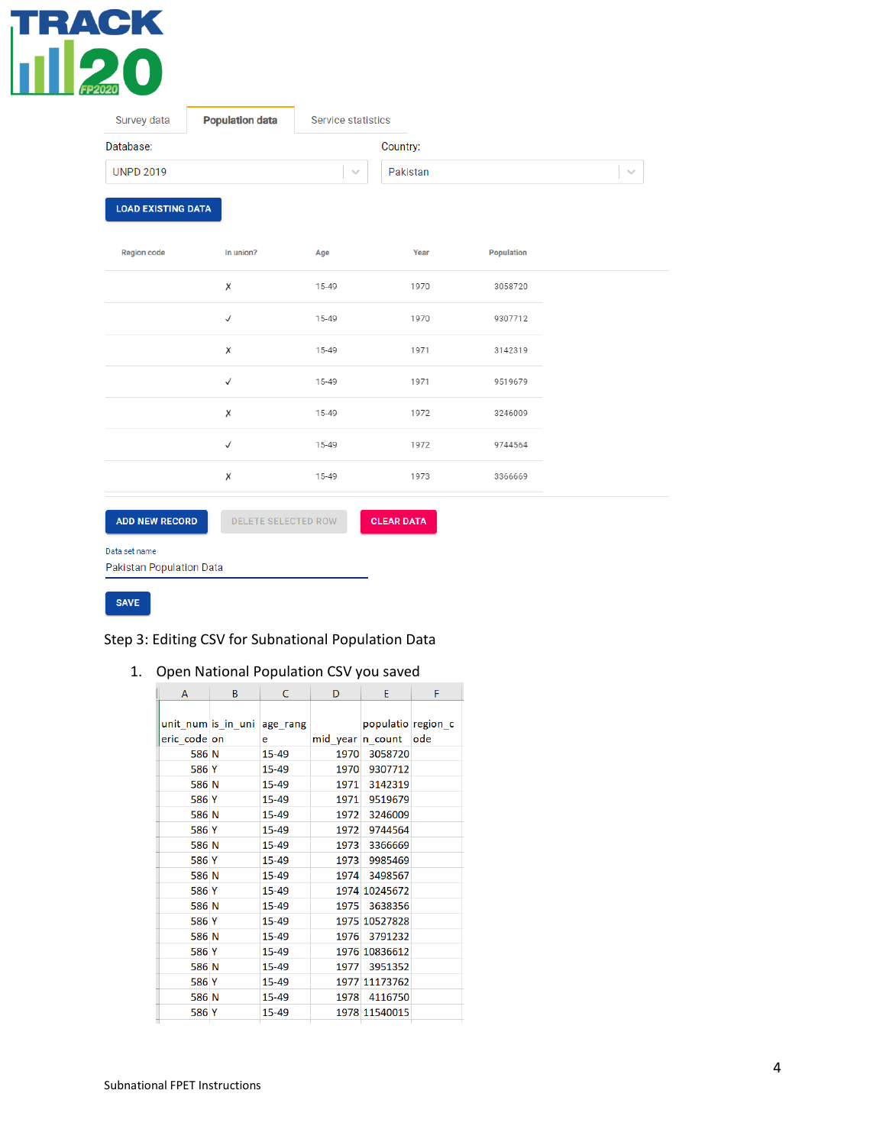

| Survey data               | <b>Population data</b>     | <b>Service statistics</b> |                   |            |        |
|---------------------------|----------------------------|---------------------------|-------------------|------------|--------|
| Database:                 |                            |                           | Country:          |            |        |
| <b>UNPD 2019</b>          |                            | $\sim$                    | Pakistan          |            | $\sim$ |
| <b>LOAD EXISTING DATA</b> |                            |                           |                   |            |        |
| <b>Region code</b>        | In union?                  | Age                       | Year              | Population |        |
|                           | χ                          | 15-49                     | 1970              | 3058720    |        |
|                           | $\checkmark$               | 15-49                     | 1970              | 9307712    |        |
|                           | χ                          | 15-49                     | 1971              | 3142319    |        |
|                           | $\checkmark$               | 15-49                     | 1971              | 9519679    |        |
|                           | Χ                          | 15-49                     | 1972              | 3246009    |        |
|                           | $\checkmark$               | 15-49                     | 1972              | 9744564    |        |
|                           | Χ                          | 15-49                     | 1973              | 3366669    |        |
| <b>ADD NEW RECORD</b>     | <b>DELETE SELECTED ROW</b> |                           | <b>CLEAR DATA</b> |            |        |
| Data set name             |                            |                           |                   |            |        |

Pakistan Population Data

SAVE

#### Step 3: Editing CSV for Subnational Population Data

1. Open National Population CSV you saved

| A            | B | C                           | D                | E                  | F           |
|--------------|---|-----------------------------|------------------|--------------------|-------------|
|              |   |                             |                  |                    |             |
|              |   | unit num is in uni age rang |                  | populatio region c |             |
| eric code on |   | e                           | mid year n count |                    | <b>lode</b> |
| 586 N        |   | $15 - 49$                   |                  | 1970 3058720       |             |
| 586 Y        |   | 15-49                       | 1970             | 9307712            |             |
| 586 N        |   | 15-49                       |                  | 1971 3142319       |             |
| 586 Y        |   | 15-49                       | 1971             | 9519679            |             |
| 586 N        |   | $15 - 49$                   | 1972             | 3246009            |             |
| 586 Y        |   | 15-49                       | 1972             | 9744564            |             |
| 586 N        |   | 15-49                       | 1973             | 3366669            |             |
| 586 Y        |   | 15-49                       | 1973             | 9985469            |             |
| 586 N        |   | 15-49                       | 1974             | 3498567            |             |
| 586 Y        |   | 15-49                       |                  | 1974 10245672      |             |
| 586 N        |   | 15-49                       | 1975             | 3638356            |             |
| 586 Y        |   | 15-49                       |                  | 1975 10527828      |             |
| 586 N        |   | 15-49                       |                  | 1976 3791232       |             |
| 586 Y        |   | 15-49                       |                  | 1976 10836612      |             |
| 586 N        |   | 15-49                       | 1977             | 3951352            |             |
| 586 Y        |   | 15-49                       |                  | 1977 11173762      |             |
| 586 N        |   | 15-49                       | 1978             | 4116750            |             |
| 586 Y        |   | 15-49                       |                  | 1978 11540015      |             |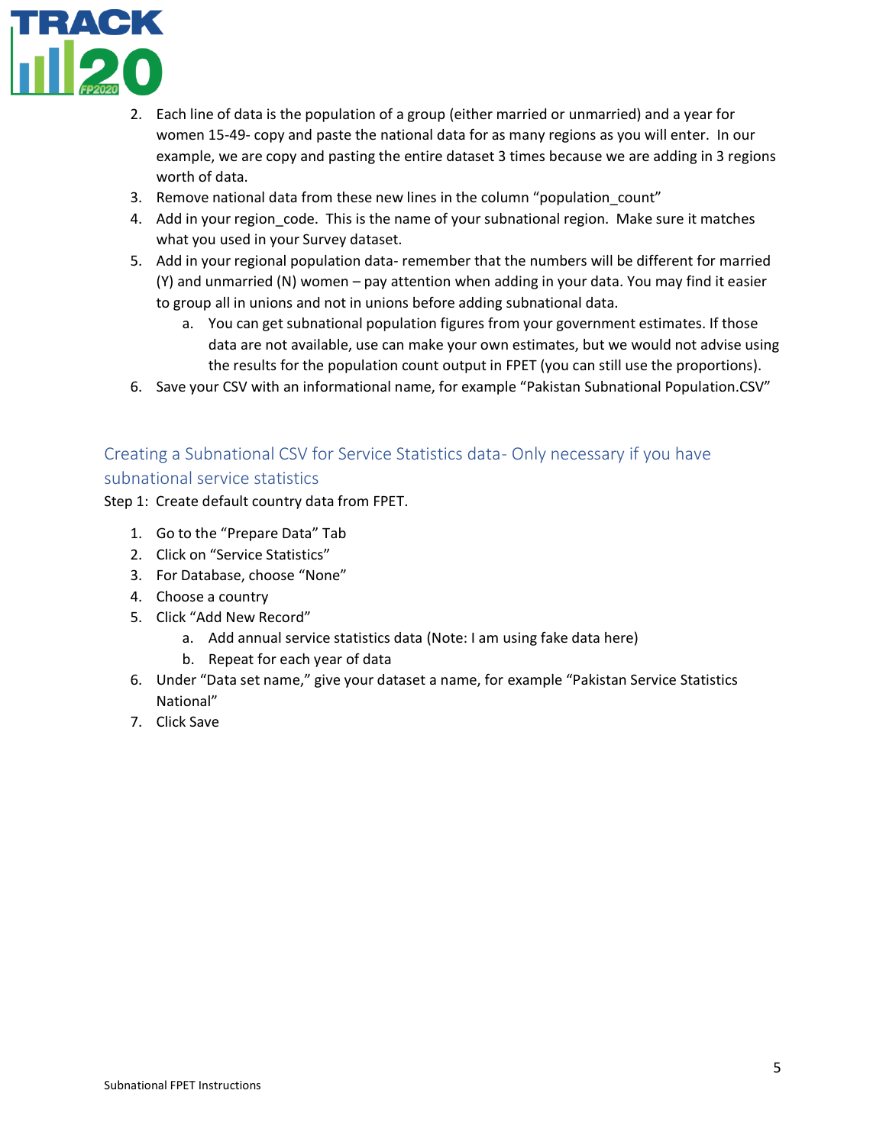

- 2. Each line of data is the population of a group (either married or unmarried) and a year for women 15-49- copy and paste the national data for as many regions as you will enter. In our example, we are copy and pasting the entire dataset 3 times because we are adding in 3 regions worth of data.
- 3. Remove national data from these new lines in the column "population\_count"
- 4. Add in your region code. This is the name of your subnational region. Make sure it matches what you used in your Survey dataset.
- 5. Add in your regional population data- remember that the numbers will be different for married (Y) and unmarried (N) women – pay attention when adding in your data. You may find it easier to group all in unions and not in unions before adding subnational data.
	- a. You can get subnational population figures from your government estimates. If those data are not available, use can make your own estimates, but we would not advise using the results for the population count output in FPET (you can still use the proportions).
- 6. Save your CSV with an informational name, for example "Pakistan Subnational Population.CSV"

### Creating a Subnational CSV for Service Statistics data- Only necessary if you have subnational service statistics

Step 1: Create default country data from FPET.

- 1. Go to the "Prepare Data" Tab
- 2. Click on "Service Statistics"
- 3. For Database, choose "None"
- 4. Choose a country
- 5. Click "Add New Record"
	- a. Add annual service statistics data (Note: I am using fake data here)
	- b. Repeat for each year of data
- 6. Under "Data set name," give your dataset a name, for example "Pakistan Service Statistics National"
- 7. Click Save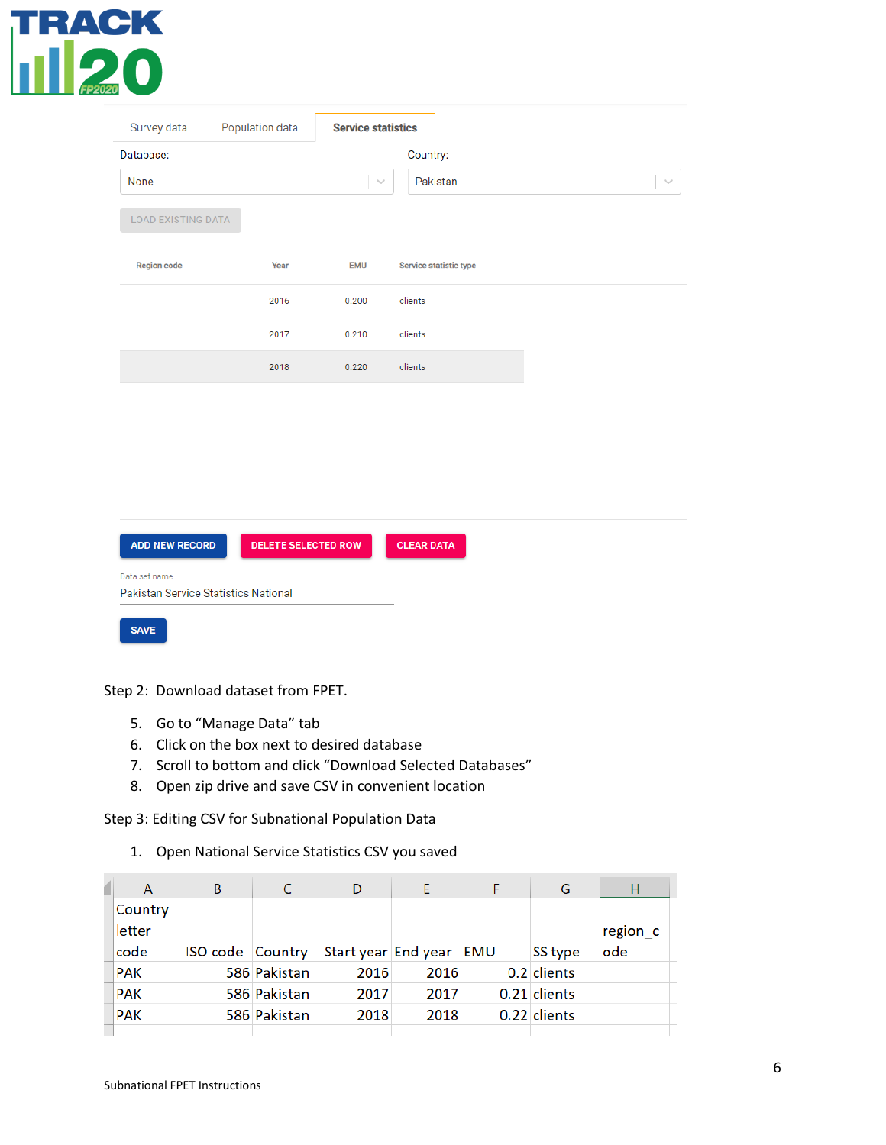# TRACK<br>11 200

| Survey data               | Population data | <b>Service statistics</b> |                        |        |
|---------------------------|-----------------|---------------------------|------------------------|--------|
| Database:                 |                 |                           | Country:               |        |
| None                      |                 | $\sim$                    | Pakistan               | $\sim$ |
| <b>LOAD EXISTING DATA</b> |                 |                           |                        |        |
| <b>Region code</b>        | Year            | <b>EMU</b>                | Service statistic type |        |
|                           | 2016            | 0.200                     | clients                |        |
|                           | 2017            | 0.210                     | clients                |        |
|                           | 2018            | 0.220                     | clients                |        |
|                           |                 |                           |                        |        |
|                           |                 |                           |                        |        |
|                           |                 |                           |                        |        |
|                           |                 |                           |                        |        |

| <b>ADD NEW RECORD</b>                                 | <b>DELETE SELECTED ROW</b> | <b>CLEAR DATA</b> |
|-------------------------------------------------------|----------------------------|-------------------|
| Data set name<br>Pakistan Service Statistics National |                            |                   |
| <b>SAVE</b>                                           |                            |                   |

Step 2: Download dataset from FPET.

- 5. Go to "Manage Data" tab
- 6. Click on the box next to desired database
- 7. Scroll to bottom and click "Download Selected Databases"
- 8. Open zip drive and save CSV in convenient location

Step 3: Editing CSV for Subnational Population Data

1. Open National Service Statistics CSV you saved

| A          | В                |              |                     |      |     | G            | Н        |  |
|------------|------------------|--------------|---------------------|------|-----|--------------|----------|--|
| Country    |                  |              |                     |      |     |              |          |  |
| letter     |                  |              |                     |      |     |              | region c |  |
| code       | ISO code Country |              | Start year End year |      | EMU | SS type      | ode      |  |
| <b>PAK</b> |                  | 586 Pakistan | 2016                | 2016 |     | 0.2 clients  |          |  |
| <b>PAK</b> |                  | 586 Pakistan | 2017                | 2017 |     | 0.21 clients |          |  |
| <b>PAK</b> |                  | 586 Pakistan | 2018                | 2018 |     | 0.22 clients |          |  |
|            |                  |              |                     |      |     |              |          |  |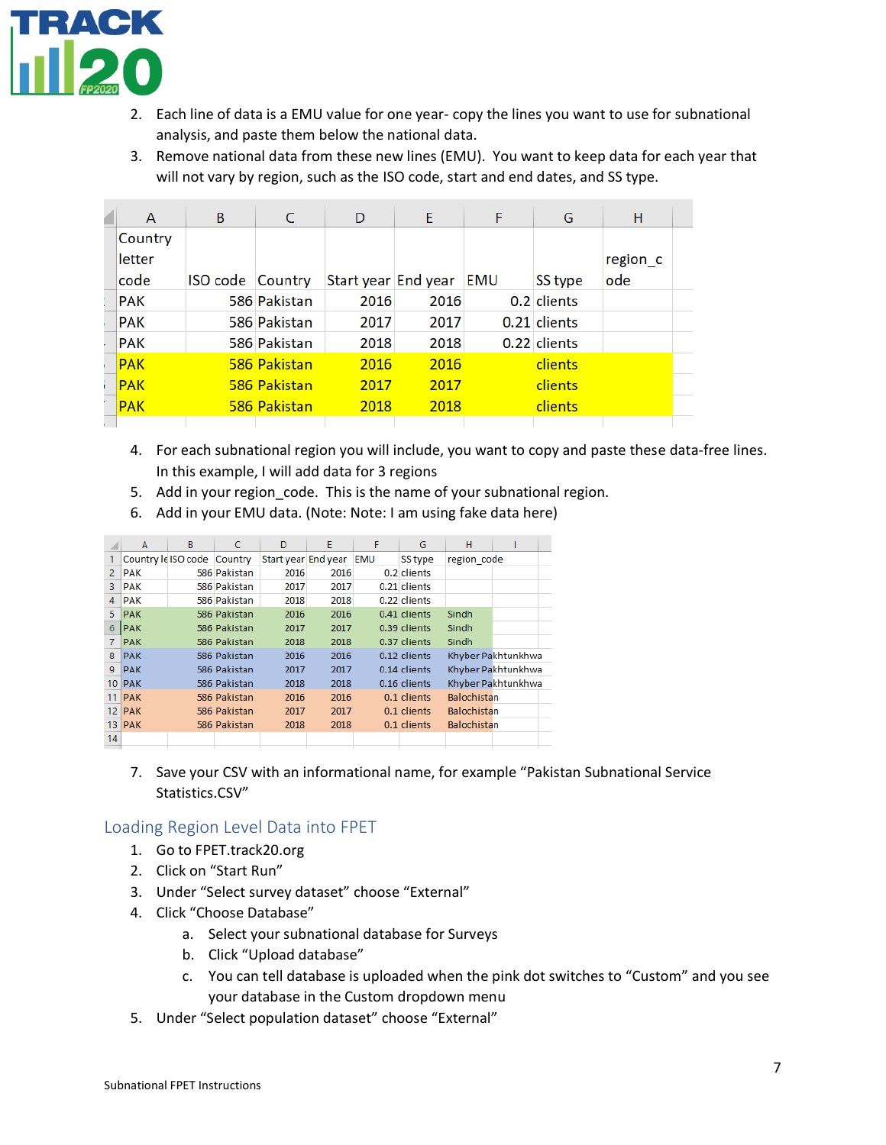

- 2. Each line of data is a EMU value for one year- copy the lines you want to use for subnational analysis, and paste them below the national data.
- 3. Remove national data from these new lines (EMU). You want to keep data for each year that will not vary by region, such as the ISO code, start and end dates, and SS type.

| A          | B        | C            | D                   | E    | F   | G            | н        |
|------------|----------|--------------|---------------------|------|-----|--------------|----------|
| Country    |          |              |                     |      |     |              |          |
| letter     |          |              |                     |      |     |              | region c |
| code       | ISO code | Country      | Start year End year |      | EMU | SS type      | ode      |
| <b>PAK</b> |          | 586 Pakistan | 2016                | 2016 |     | 0.2 clients  |          |
| <b>PAK</b> |          | 586 Pakistan | 2017                | 2017 |     | 0.21 clients |          |
| <b>PAK</b> |          | 586 Pakistan | 2018                | 2018 |     | 0.22 clients |          |
| <b>PAK</b> |          | 586 Pakistan | 2016                | 2016 |     | clients      |          |
| <b>PAK</b> |          | 586 Pakistan | 2017                | 2017 |     | clients      |          |
| <b>PAK</b> |          | 586 Pakistan | 2018                | 2018 |     | clients      |          |
|            |          |              |                     |      |     |              |          |

- 4. For each subnational region you will include, you want to copy and paste these data-free lines. In this example, I will add data for 3 regions
- 5. Add in your region\_code. This is the name of your subnational region.
- 6. Add in your EMU data. (Note: Note: I am using fake data here)

|                 | A          | B                           | C            | D                   | E    | F          | G            | н                  |                    |  |
|-----------------|------------|-----------------------------|--------------|---------------------|------|------------|--------------|--------------------|--------------------|--|
|                 |            | Country le ISO code Country |              | Start year End year |      | <b>EMU</b> | SS type      | region code        |                    |  |
| $\mathcal{P}$   | <b>PAK</b> |                             | 586 Pakistan | 2016                | 2016 |            | 0.2 clients  |                    |                    |  |
| 3               | <b>PAK</b> |                             | 586 Pakistan | 2017                | 2017 |            | 0.21 clients |                    |                    |  |
| $\mathbf{A}$    | <b>PAK</b> |                             | 586 Pakistan | 2018                | 2018 |            | 0.22 clients |                    |                    |  |
| 5.              | <b>PAK</b> |                             | 586 Pakistan | 2016                | 2016 |            | 0.41 clients | Sindh              |                    |  |
| 6               | <b>PAK</b> |                             | 586 Pakistan | 2017                | 2017 |            | 0.39 clients | Sindh              |                    |  |
|                 | <b>PAK</b> |                             | 586 Pakistan | 2018                | 2018 |            | 0.37 clients | Sindh              |                    |  |
| 8               | <b>PAK</b> |                             | 586 Pakistan | 2016                | 2016 |            | 0.12 clients |                    | Khyber Pakhtunkhwa |  |
| 9               | <b>PAK</b> |                             | 586 Pakistan | 2017                | 2017 |            | 0.14 clients |                    | Khyber Pakhtunkhwa |  |
| 10 <sup>°</sup> | <b>PAK</b> |                             | 586 Pakistan | 2018                | 2018 |            | 0.16 clients |                    | Khyber Pakhtunkhwa |  |
| 11              | <b>PAK</b> |                             | 586 Pakistan | 2016                | 2016 |            | 0.1 clients  | <b>Balochistan</b> |                    |  |
| 12 <sup>2</sup> | <b>PAK</b> |                             | 586 Pakistan | 2017                | 2017 |            | 0.1 clients  | <b>Balochistan</b> |                    |  |
| 13.             | <b>PAK</b> |                             | 586 Pakistan | 2018                | 2018 |            | 0.1 clients  | Balochistan        |                    |  |
| 14              |            |                             |              |                     |      |            |              |                    |                    |  |
|                 |            |                             |              |                     |      |            |              |                    |                    |  |

7. Save your CSV with an informational name, for example "Pakistan Subnational Service Statistics.CSV"

#### Loading Region Level Data into FPET

- 1. Go to FPET.track20.org
- 2. Click on "Start Run"
- 3. Under "Select survey dataset" choose "External"
- 4. Click "Choose Database"
	- a. Select your subnational database for Surveys
	- b. Click "Upload database"
	- c. You can tell database is uploaded when the pink dot switches to "Custom" and you see your database in the Custom dropdown menu
- 5. Under "Select population dataset" choose "External"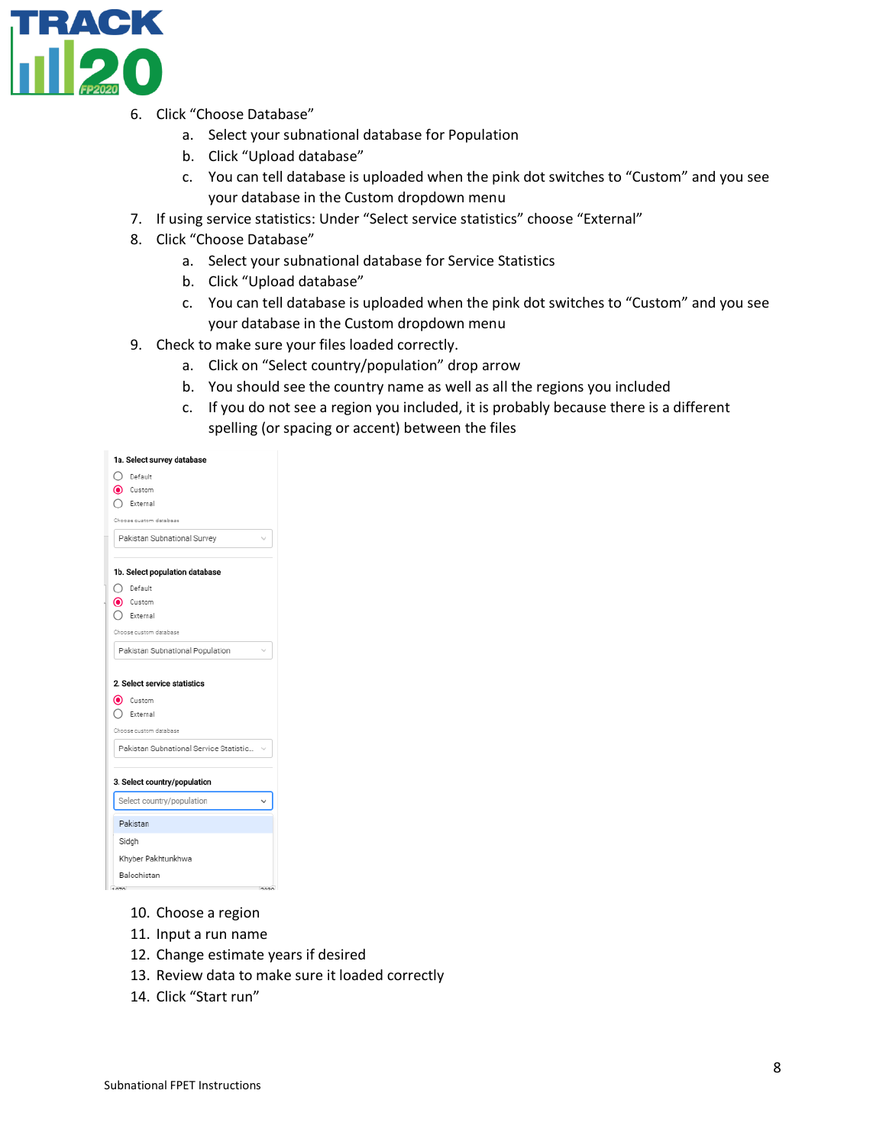

- 6. Click "Choose Database"
	- a. Select your subnational database for Population
	- b. Click "Upload database"
	- c. You can tell database is uploaded when the pink dot switches to "Custom" and you see your database in the Custom dropdown menu
- 7. If using service statistics: Under "Select service statistics" choose "External"
- 8. Click "Choose Database"
	- a. Select your subnational database for Service Statistics
	- b. Click "Upload database"
	- c. You can tell database is uploaded when the pink dot switches to "Custom" and you see your database in the Custom dropdown menu
- 9. Check to make sure your files loaded correctly.
	- a. Click on "Select country/population" drop arrow
	- b. You should see the country name as well as all the regions you included
	- c. If you do not see a region you included, it is probably because there is a different spelling (or spacing or accent) between the files

| 1a. Select survey database             |
|----------------------------------------|
| () Default                             |
| Custom                                 |
| External                               |
| oose custom database                   |
| Pakistan Subnational Survey            |
| 1b. Select population database         |
| ◯ Default                              |
| Custom                                 |
| External                               |
| toose custom database                  |
| Pakistan Subnational Population        |
| 2. Select service statistics<br>Custom |
| External                               |
| Choose custom database                 |
| Pakistan Subnational Service Statistic |
| 3. Select country/population           |
| Select country/population              |
| Pakistan                               |
| Sidgh                                  |
| Khyber Pakhtunkhwa                     |
| Balochistan                            |
| 1070<br>2020                           |

- 10. Choose a region
- 11. Input a run name
- 12. Change estimate years if desired
- 13. Review data to make sure it loaded correctly
- 14. Click "Start run"